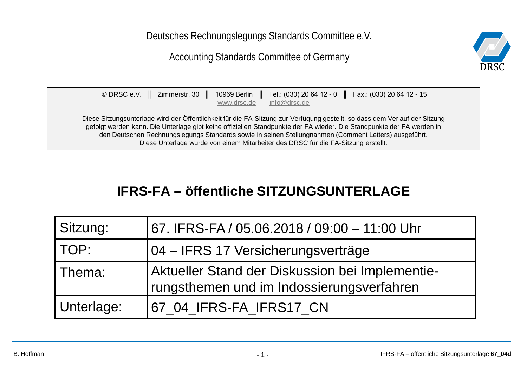#### Accounting Standards Committee of Germany



| © DRSC e.V. $\parallel$ Zimmerstr. 30 $\parallel$ | $\parallel$ 10969 Berlin $\parallel$<br>www.drsc.de - | info@drsc.de                                                                      | Tel.: (030) 20 64 12 - 0 $\parallel$ Fax.: (030) 20 64 12 - 15                                                                                                                                                                                                                                                                                               |
|---------------------------------------------------|-------------------------------------------------------|-----------------------------------------------------------------------------------|--------------------------------------------------------------------------------------------------------------------------------------------------------------------------------------------------------------------------------------------------------------------------------------------------------------------------------------------------------------|
|                                                   |                                                       | Diese Unterlage wurde von einem Mitarbeiter des DRSC für die FA-Sitzung erstellt. | Diese Sitzungsunterlage wird der Öffentlichkeit für die FA-Sitzung zur Verfügung gestellt, so dass dem Verlauf der Sitzung<br>gefolgt werden kann. Die Unterlage gibt keine offiziellen Standpunkte der FA wieder. Die Standpunkte der FA werden in<br>den Deutschen Rechnungslegungs Standards sowie in seinen Stellungnahmen (Comment Letters) ausgeführt. |

### **IFRS-FA – öffentliche SITZUNGSUNTERLAGE**

| Sitzung:   | 67. IFRS-FA / 05.06.2018 / 09:00 - 11:00 Uhr                                                 |
|------------|----------------------------------------------------------------------------------------------|
| TOP:       | 04 – IFRS 17 Versicherungsverträge                                                           |
| Thema:     | Aktueller Stand der Diskussion bei Implementie-<br>rungsthemen und im Indossierungsverfahren |
| Unterlage: | 67_04_IFRS-FA_IFRS17_CN                                                                      |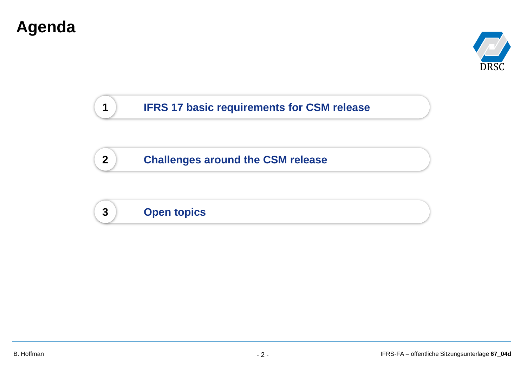

#### **1 IFRS 17 basic requirements for CSM release**

**2 Challenges around the CSM release**

### **3 Open topics**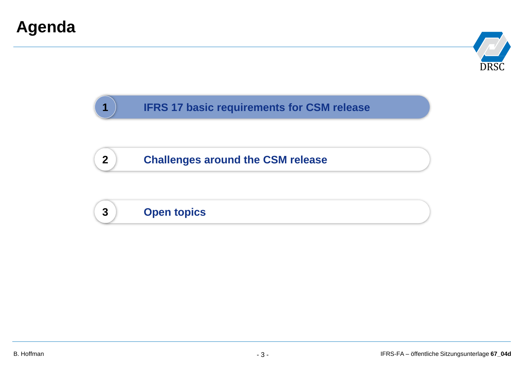

#### **1 IFRS 17 basic requirements for CSM release**

**2 Challenges around the CSM release**

### **3 Open topics**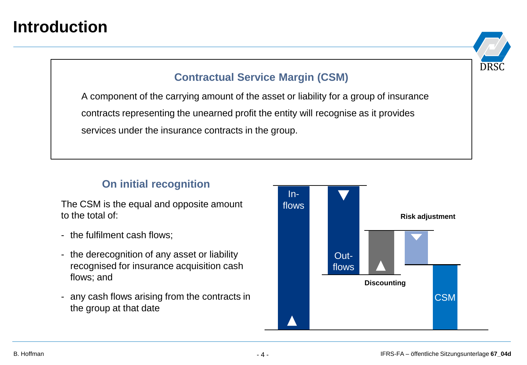### **Introduction**

# **DRS**

#### **Contractual Service Margin (CSM)**

A component of the carrying amount of the asset or liability for a group of insurance contracts representing the unearned profit the entity will recognise as it provides services under the insurance contracts in the group.

#### **On initial recognition**

The CSM is the equal and opposite amount to the total of:

- the fulfilment cash flows;
- the derecognition of any asset or liability recognised for insurance acquisition cash flows; and
- any cash flows arising from the contracts in the group at that date

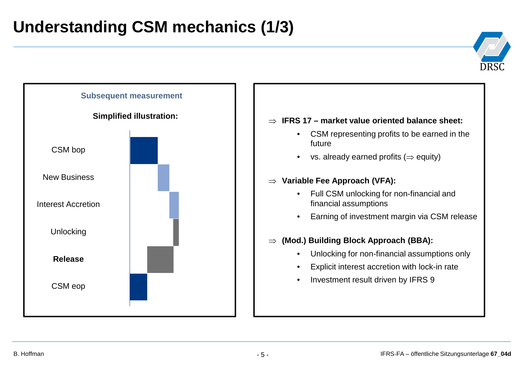### **Understanding CSM mechanics (1/3)**





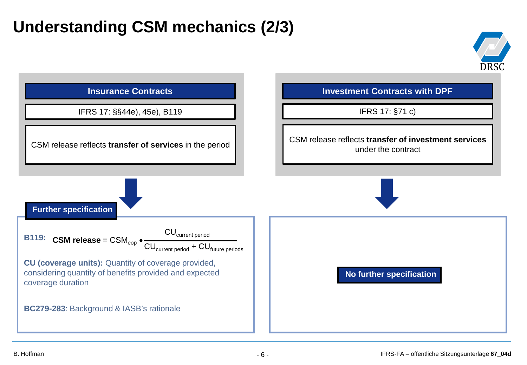### **Understanding CSM mechanics (2/3)**

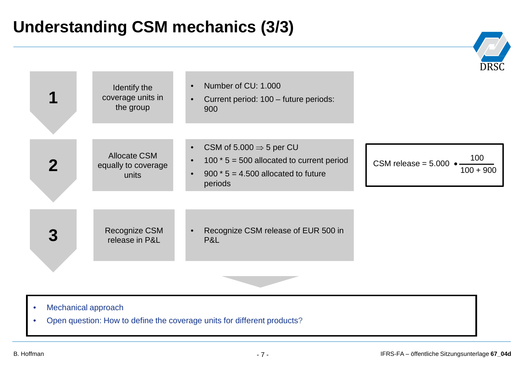### **Understanding CSM mechanics (3/3)**

|                                               | Identify the<br>coverage units in<br>the group      | Number of CU: 1.000<br>$\bullet$<br>Current period: 100 - future periods:<br>$\bullet$<br>900                                                                                 | <u>,,,</u>                                    |
|-----------------------------------------------|-----------------------------------------------------|-------------------------------------------------------------------------------------------------------------------------------------------------------------------------------|-----------------------------------------------|
| $\mathbf 2$                                   | <b>Allocate CSM</b><br>equally to coverage<br>units | CSM of 5.000 $\Rightarrow$ 5 per CU<br>$\bullet$<br>100 $*$ 5 = 500 allocated to current period<br>$\bullet$<br>900 $*$ 5 = 4.500 allocated to future<br>$\bullet$<br>periods | 100<br>$CSM$ release = $5.000$<br>$100 + 900$ |
|                                               | Recognize CSM<br>release in P&L                     | Recognize CSM release of EUR 500 in<br>P&L                                                                                                                                    |                                               |
| Mechanical approach<br>$\bullet$<br>$\bullet$ |                                                     | Open question: How to define the coverage units for different products?                                                                                                       |                                               |

DRS

 $\sqrt{N}$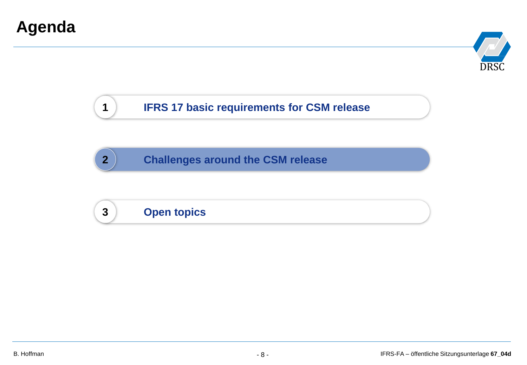

#### **1 IFRS 17 basic requirements for CSM release**

**2 Challenges around the CSM release**

### **3 Open topics**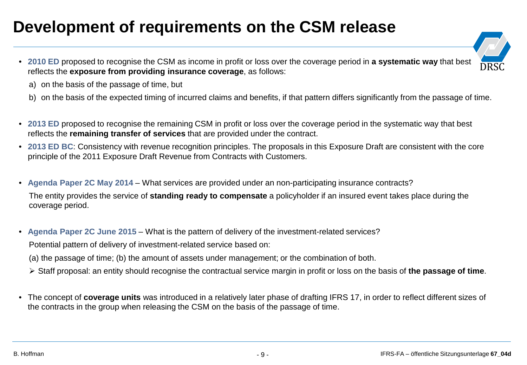### **Development of requirements on the CSM release**

- **2010 ED** proposed to recognise the CSM as income in profit or loss over the coverage period in **a systematic way** that best reflects the **exposure from providing insurance coverage**, as follows:
- $\left(\frac{1}{\sqrt{2}}\right)^{2}$ DRSC

- a) on the basis of the passage of time, but
- b) on the basis of the expected timing of incurred claims and benefits, if that pattern differs significantly from the passage of time.
- **2013 ED** proposed to recognise the remaining CSM in profit or loss over the coverage period in the systematic way that best reflects the **remaining transfer of services** that are provided under the contract.
- **2013 ED BC**: Consistency with revenue recognition principles. The proposals in this Exposure Draft are consistent with the core principle of the 2011 Exposure Draft Revenue from Contracts with Customers.
- **Agenda Paper 2C May 2014**  What services are provided under an non-participating insurance contracts?

The entity provides the service of **standing ready to compensate** a policyholder if an insured event takes place during the coverage period.

• **Agenda Paper 2C June 2015** – What is the pattern of delivery of the investment-related services?

Potential pattern of delivery of investment-related service based on:

(a) the passage of time; (b) the amount of assets under management; or the combination of both.

- Staff proposal: an entity should recognise the contractual service margin in profit or loss on the basis of **the passage of time**.
- The concept of **coverage units** was introduced in a relatively later phase of drafting IFRS 17, in order to reflect different sizes of the contracts in the group when releasing the CSM on the basis of the passage of time.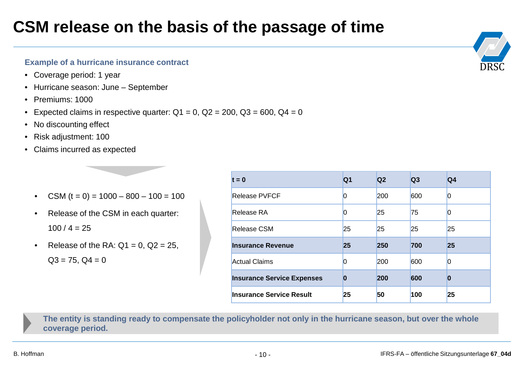### **CSM release on the basis of the passage of time**

#### **Example of a hurricane insurance contract**

- Coverage period: 1 year
- Hurricane season: June September
- Premiums: 1000
- Expected claims in respective quarter:  $Q1 = 0$ ,  $Q2 = 200$ ,  $Q3 = 600$ ,  $Q4 = 0$
- No discounting effect
- Risk adjustment: 100
- Claims incurred as expected
	- CSM  $(t = 0) = 1000 800 100 = 100$
	- Release of the CSM in each quarter:  $100 / 4 = 25$
	- Release of the RA:  $Q1 = 0$ ,  $Q2 = 25$ ,  $Q3 = 75$ ,  $Q4 = 0$

| $t = 0$                           | Q1 | Q <sub>2</sub> | Q <sub>3</sub> | Q4             |
|-----------------------------------|----|----------------|----------------|----------------|
| Release PVFCF                     | 0  | <b>200</b>     | 600            | $\overline{0}$ |
| Release RA                        | 0  | 25             | 75             | $\overline{0}$ |
| Release CSM                       | 25 | 25             | 25             | 25             |
| <b>Insurance Revenue</b>          | 25 | 250            | 700            | 25             |
| <b>Actual Claims</b>              | 0  | <b>200</b>     | 600            | $\Omega$       |
| <b>Insurance Service Expenses</b> | 0  | 200            | 600            | $\bf{0}$       |
| Insurance Service Result          | 25 | 50             | 100            | 25             |

**The entity is standing ready to compensate the policyholder not only in the hurricane season, but over the whole coverage period.**

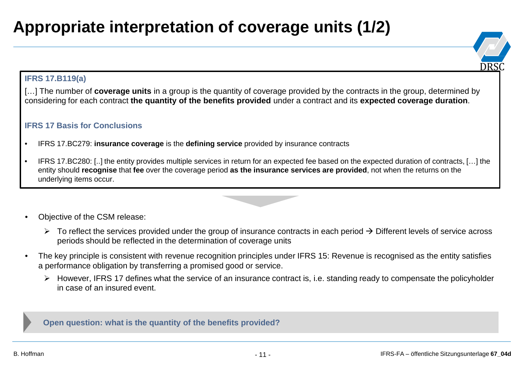## **Appropriate interpretation of coverage units (1/2)**



#### **IFRS 17.B119(a)**

[...] The number of **coverage units** in a group is the quantity of coverage provided by the contracts in the group, determined by considering for each contract **the quantity of the benefits provided** under a contract and its **expected coverage duration**.

#### **IFRS 17 Basis for Conclusions**

- IFRS 17.BC279: **insurance coverage** is the **defining service** provided by insurance contracts
- IFRS 17.BC280: [..] the entity provides multiple services in return for an expected fee based on the expected duration of contracts, […] the entity should **recognise** that **fee** over the coverage period **as the insurance services are provided**, not when the returns on the underlying items occur.
- Objective of the CSM release:
	- $\triangleright$  To reflect the services provided under the group of insurance contracts in each period  $\rightarrow$  Different levels of service across periods should be reflected in the determination of coverage units
- The key principle is consistent with revenue recognition principles under IFRS 15: Revenue is recognised as the entity satisfies a performance obligation by transferring a promised good or service.
	- $\triangleright$  However, IFRS 17 defines what the service of an insurance contract is, i.e. standing ready to compensate the policyholder in case of an insured event.

**Open question: what is the quantity of the benefits provided?**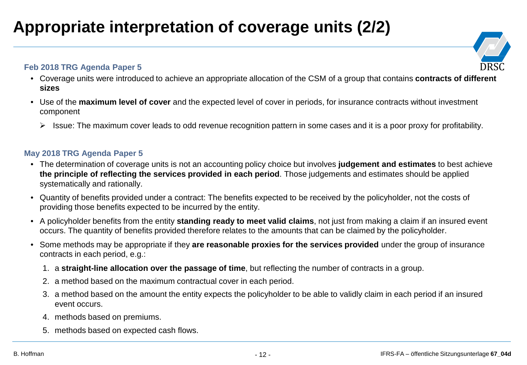### **Appropriate interpretation of coverage units (2/2)**

#### **Feb 2018 TRG Agenda Paper 5**



- Coverage units were introduced to achieve an appropriate allocation of the CSM of a group that contains **contracts of different sizes**
- Use of the **maximum level of cover** and the expected level of cover in periods, for insurance contracts without investment component
	- $\triangleright$  Issue: The maximum cover leads to odd revenue recognition pattern in some cases and it is a poor proxy for profitability.

#### **May 2018 TRG Agenda Paper 5**

- The determination of coverage units is not an accounting policy choice but involves **judgement and estimates** to best achieve **the principle of reflecting the services provided in each period**. Those judgements and estimates should be applied systematically and rationally.
- Quantity of benefits provided under a contract: The benefits expected to be received by the policyholder, not the costs of providing those benefits expected to be incurred by the entity.
- A policyholder benefits from the entity **standing ready to meet valid claims**, not just from making a claim if an insured event occurs. The quantity of benefits provided therefore relates to the amounts that can be claimed by the policyholder.
- Some methods may be appropriate if they **are reasonable proxies for the services provided** under the group of insurance contracts in each period, e.g.:
	- 1. a **straight-line allocation over the passage of time**, but reflecting the number of contracts in a group.
	- 2. a method based on the maximum contractual cover in each period.
	- 3. a method based on the amount the entity expects the policyholder to be able to validly claim in each period if an insured event occurs.
	- 4. methods based on premiums.
	- 5. methods based on expected cash flows.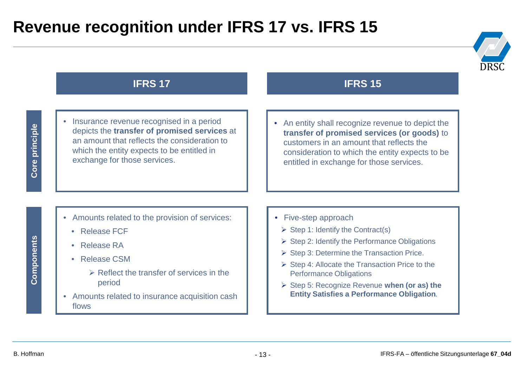### **Revenue recognition under IFRS 17 vs. IFRS 15**



#### **IFRS 17 IFRS 15**

• Insurance revenue recognised in a period depicts the **transfer of promised services** at an amount that reflects the consideration to which the entity expects to be entitled in exchange for those services.

• An entity shall recognize revenue to depict the **transfer of promised services (or goods)** to customers in an amount that reflects the consideration to which the entity expects to be entitled in exchange for those services.

- Amounts related to the provision of services:
	- Release FCF
	- Release RA
	- Release CSM
		- $\triangleright$  Reflect the transfer of services in the period
- Amounts related to insurance acquisition cash flows
- Five-step approach
	- $\triangleright$  Step 1: Identify the Contract(s)
	- $\triangleright$  Step 2: Identify the Performance Obligations
	- $\triangleright$  Step 3: Determine the Transaction Price.
	- $\triangleright$  Step 4: Allocate the Transaction Price to the Performance Obligations
	- Step 5: Recognize Revenue **when (or as) the Entity Satisfies a Performance Obligation***.*

# Components **Components**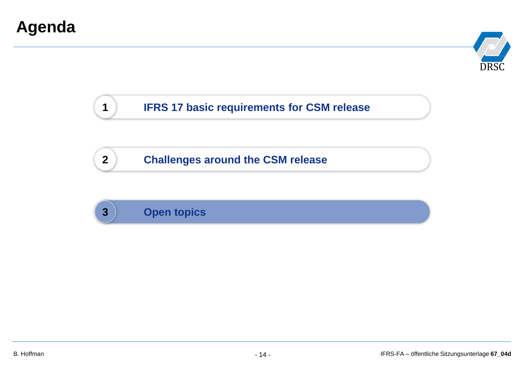

#### **1 IFRS 17 basic requirements for CSM release**

**2 Challenges around the CSM release**